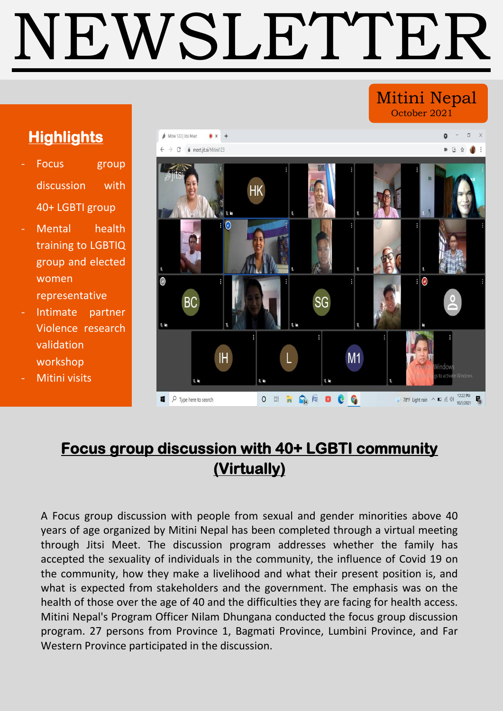# NEWSLETTER

### Mitini Nepal October 2021

# **Highlights**

- Focus group discussion with 40+ LGBTI group
- Mental health training to LGBTIQ group and elected women representative
- Intimate partner Violence research validation workshop
- Mitini visits



# **Focus group discussion with 40+ LGBTI community (Virtually)**

A Focus group discussion with people from sexual and gender minorities above 40 years of age organized by Mitini Nepal has been completed through a virtual meeting through Jitsi Meet. The discussion program addresses whether the family has accepted the sexuality of individuals in the community, the influence of Covid 19 on the community, how they make a livelihood and what their present position is, and what is expected from stakeholders and the government. The emphasis was on the health of those over the age of 40 and the difficulties they are facing for health access. Mitini Nepal's Program Officer Nilam Dhungana conducted the focus group discussion program. 27 persons from Province 1, Bagmati Province, Lumbini Province, and Far Western Province participated in the discussion.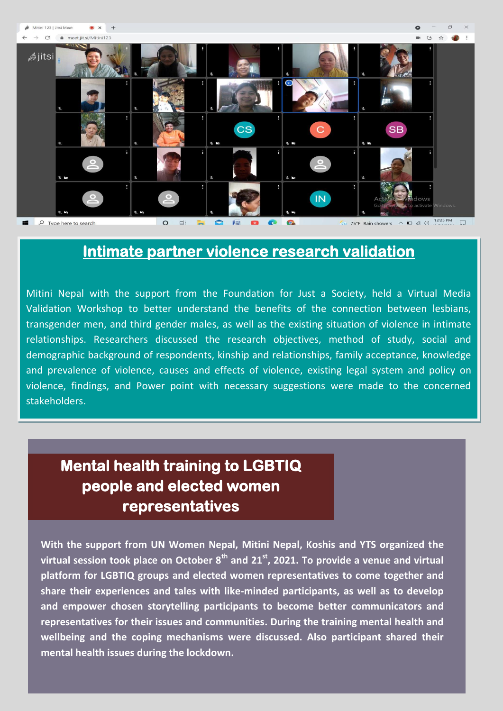

## **Intimate partner violence research validation**

Mitini Nepal with the support from the Foundation for Just a Society, held a Virtual Media Validation Workshop to better understand the benefits of the connection between lesbians, transgender men, and third gender males, as well as the existing situation of violence in intimate relationships. Researchers discussed the research objectives, method of study, social and demographic background of respondents, kinship and relationships, family acceptance, knowledge and prevalence of violence, causes and effects of violence, existing legal system and policy on violence, findings, and Power point with necessary suggestions were made to the concerned stakeholders.

# **Mental health training to LGBTIQ people and elected women representatives**

 **With the support from UN Women Nepal, Mitini Nepal, Koshis and YTS organized the virtual session took place on October 8th and 21st, 2021. To provide a venue and virtual platform for LGBTIQ groups and elected women representatives to come together and share their experiences and tales with like-minded participants, as well as to develop and empower chosen storytelling participants to become better communicators and representatives for their issues and communities. During the training mental health and wellbeing and the coping mechanisms were discussed. Also participant shared their mental health issues during the lockdown.**